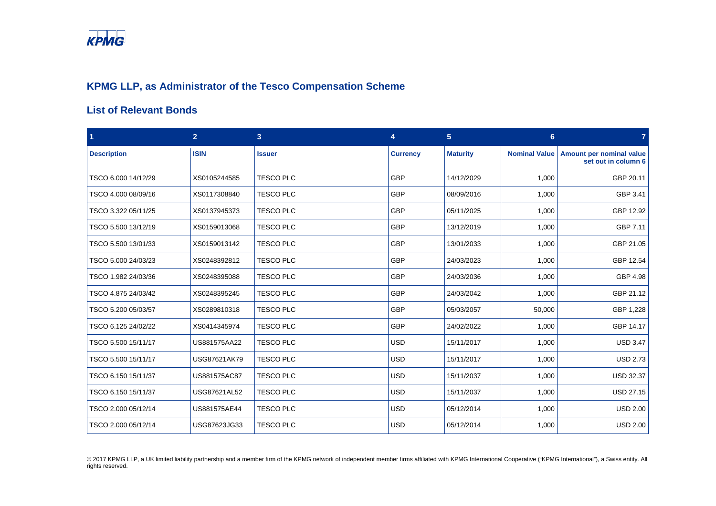

## **KPMG LLP, as Administrator of the Tesco Compensation Scheme**

## **List of Relevant Bonds**

| $\blacktriangleleft$ | $\overline{2}$ | 3 <sup>2</sup>   | 4               | $5\phantom{.0}$ | 6 <sup>°</sup>       | 7                                               |
|----------------------|----------------|------------------|-----------------|-----------------|----------------------|-------------------------------------------------|
| <b>Description</b>   | <b>ISIN</b>    | <b>Issuer</b>    | <b>Currency</b> | <b>Maturity</b> | <b>Nominal Value</b> | Amount per nominal value<br>set out in column 6 |
| TSCO 6.000 14/12/29  | XS0105244585   | <b>TESCO PLC</b> | GBP             | 14/12/2029      | 1,000                | GBP 20.11                                       |
| TSCO 4.000 08/09/16  | XS0117308840   | <b>TESCO PLC</b> | <b>GBP</b>      | 08/09/2016      | 1,000                | GBP 3.41                                        |
| TSCO 3.322 05/11/25  | XS0137945373   | <b>TESCO PLC</b> | <b>GBP</b>      | 05/11/2025      | 1,000                | GBP 12.92                                       |
| TSCO 5.500 13/12/19  | XS0159013068   | <b>TESCO PLC</b> | <b>GBP</b>      | 13/12/2019      | 1,000                | GBP 7.11                                        |
| TSCO 5.500 13/01/33  | XS0159013142   | <b>TESCO PLC</b> | GBP             | 13/01/2033      | 1,000                | GBP 21.05                                       |
| TSCO 5.000 24/03/23  | XS0248392812   | <b>TESCO PLC</b> | <b>GBP</b>      | 24/03/2023      | 1,000                | GBP 12.54                                       |
| TSCO 1.982 24/03/36  | XS0248395088   | <b>TESCO PLC</b> | <b>GBP</b>      | 24/03/2036      | 1,000                | GBP 4.98                                        |
| TSCO 4.875 24/03/42  | XS0248395245   | <b>TESCO PLC</b> | <b>GBP</b>      | 24/03/2042      | 1,000                | GBP 21.12                                       |
| TSCO 5.200 05/03/57  | XS0289810318   | <b>TESCO PLC</b> | <b>GBP</b>      | 05/03/2057      | 50,000               | GBP 1,228                                       |
| TSCO 6.125 24/02/22  | XS0414345974   | <b>TESCO PLC</b> | <b>GBP</b>      | 24/02/2022      | 1,000                | GBP 14.17                                       |
| TSCO 5.500 15/11/17  | US881575AA22   | <b>TESCO PLC</b> | <b>USD</b>      | 15/11/2017      | 1,000                | <b>USD 3.47</b>                                 |
| TSCO 5.500 15/11/17  | USG87621AK79   | <b>TESCO PLC</b> | <b>USD</b>      | 15/11/2017      | 1,000                | <b>USD 2.73</b>                                 |
| TSCO 6.150 15/11/37  | US881575AC87   | TESCO PLC        | <b>USD</b>      | 15/11/2037      | 1,000                | <b>USD 32.37</b>                                |
| TSCO 6.150 15/11/37  | USG87621AL52   | <b>TESCO PLC</b> | <b>USD</b>      | 15/11/2037      | 1,000                | <b>USD 27.15</b>                                |
| TSCO 2.000 05/12/14  | US881575AE44   | <b>TESCO PLC</b> | <b>USD</b>      | 05/12/2014      | 1,000                | <b>USD 2.00</b>                                 |
| TSCO 2.000 05/12/14  | USG87623JG33   | <b>TESCO PLC</b> | <b>USD</b>      | 05/12/2014      | 1,000                | <b>USD 2.00</b>                                 |

© 2017 KPMG LLP, a UK limited liability partnership and a member firm of the KPMG network of independent member firms affiliated with KPMG International Cooperative ("KPMG International"), a Swiss entity. All rights reserved.